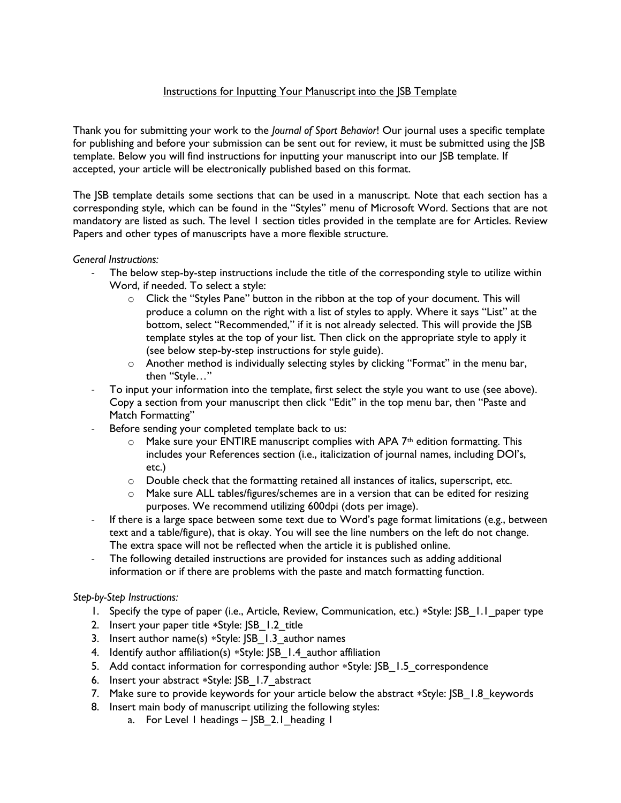## Instructions for Inputting Your Manuscript into the JSB Template

Thank you for submitting your work to the *Journal of Sport Behavior*! Our journal uses a specific template for publishing and before your submission can be sent out for review, it must be submitted using the JSB template. Below you will find instructions for inputting your manuscript into our JSB template. If accepted, your article will be electronically published based on this format.

The JSB template details some sections that can be used in a manuscript. Note that each section has a corresponding style, which can be found in the "Styles" menu of Microsoft Word. Sections that are not mandatory are listed as such. The level 1 section titles provided in the template are for Articles. Review Papers and other types of manuscripts have a more flexible structure.

## *General Instructions:*

- The below step-by-step instructions include the title of the corresponding style to utilize within Word, if needed. To select a style:
	- $\circ$  Click the "Styles Pane" button in the ribbon at the top of your document. This will produce a column on the right with a list of styles to apply. Where it says "List" at the bottom, select "Recommended," if it is not already selected. This will provide the JSB template styles at the top of your list. Then click on the appropriate style to apply it (see below step-by-step instructions for style guide).
	- $\circ$  Another method is individually selecting styles by clicking "Format" in the menu bar, then "Style…"
- To input your information into the template, first select the style you want to use (see above). Copy a section from your manuscript then click "Edit" in the top menu bar, then "Paste and Match Formatting"
- Before sending your completed template back to us:
	- $\circ$  Make sure your ENTIRE manuscript complies with APA 7<sup>th</sup> edition formatting. This includes your References section (i.e., italicization of journal names, including DOI's, etc.)
	- $\circ$  Double check that the formatting retained all instances of italics, superscript, etc.
	- $\circ$  Make sure ALL tables/figures/schemes are in a version that can be edited for resizing purposes. We recommend utilizing 600dpi (dots per image).
- If there is a large space between some text due to Word's page format limitations (e.g., between text and a table/figure), that is okay. You will see the line numbers on the left do not change. The extra space will not be reflected when the article it is published online.
- The following detailed instructions are provided for instances such as adding additional information or if there are problems with the paste and match formatting function.

## *Step-by-Step Instructions:*

- 1. Specify the type of paper (i.e., Article, Review, Communication, etc.) \*Style:  $|SB|$ .1 paper type
- 2. Insert your paper title \*Style: JSB 1.2 title
- 3. Insert author name(s)  $*$ Style: JSB 1.3 author names
- 4. Identify author affiliation(s) \*Style: JSB 1.4 author affiliation
- 5. Add contact information for corresponding author \*Style: JSB 1.5 correspondence
- 6. Insert your abstract \*Style: JSB 1.7 abstract
- 7. Make sure to provide keywords for your article below the abstract  $*S$ tyle:  $|SB|$  1.8 keywords
- 8. Insert main body of manuscript utilizing the following styles:
	- a. For Level 1 headings JSB 2.1 heading 1